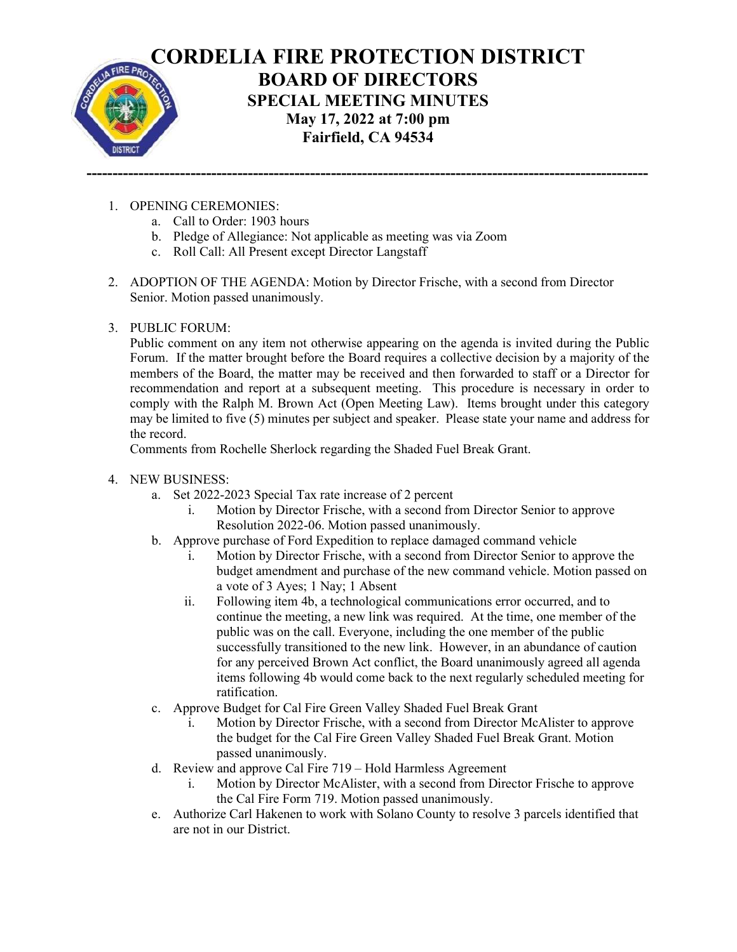

- 1. OPENING CEREMONIES:
	- a. Call to Order: 1903 hours
	- b. Pledge of Allegiance: Not applicable as meeting was via Zoom
	- c. Roll Call: All Present except Director Langstaff
- 2. ADOPTION OF THE AGENDA: Motion by Director Frische, with a second from Director Senior. Motion passed unanimously.

------------------------------------------------------------------------------------------------------------

3. PUBLIC FORUM:

Public comment on any item not otherwise appearing on the agenda is invited during the Public Forum. If the matter brought before the Board requires a collective decision by a majority of the members of the Board, the matter may be received and then forwarded to staff or a Director for recommendation and report at a subsequent meeting. This procedure is necessary in order to comply with the Ralph M. Brown Act (Open Meeting Law). Items brought under this category may be limited to five (5) minutes per subject and speaker. Please state your name and address for the record.

Comments from Rochelle Sherlock regarding the Shaded Fuel Break Grant.

- 4. NEW BUSINESS:
	- a. Set 2022-2023 Special Tax rate increase of 2 percent
		- i. Motion by Director Frische, with a second from Director Senior to approve Resolution 2022-06. Motion passed unanimously.
	- b. Approve purchase of Ford Expedition to replace damaged command vehicle
		- i. Motion by Director Frische, with a second from Director Senior to approve the budget amendment and purchase of the new command vehicle. Motion passed on a vote of 3 Ayes; 1 Nay; 1 Absent
		- ii. Following item 4b, a technological communications error occurred, and to continue the meeting, a new link was required. At the time, one member of the public was on the call. Everyone, including the one member of the public successfully transitioned to the new link. However, in an abundance of caution for any perceived Brown Act conflict, the Board unanimously agreed all agenda items following 4b would come back to the next regularly scheduled meeting for ratification.
	- c. Approve Budget for Cal Fire Green Valley Shaded Fuel Break Grant
		- i. Motion by Director Frische, with a second from Director McAlister to approve the budget for the Cal Fire Green Valley Shaded Fuel Break Grant. Motion passed unanimously.
	- d. Review and approve Cal Fire 719 Hold Harmless Agreement
		- i. Motion by Director McAlister, with a second from Director Frische to approve the Cal Fire Form 719. Motion passed unanimously.
	- e. Authorize Carl Hakenen to work with Solano County to resolve 3 parcels identified that are not in our District.